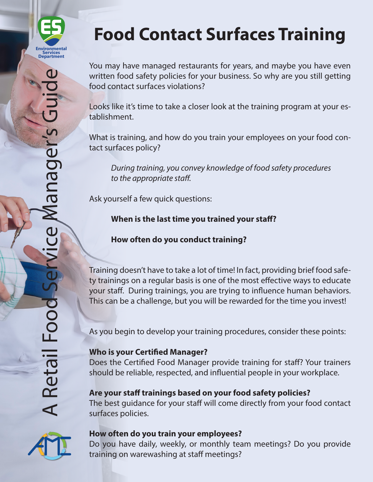

You may have managed restaurants for years, and maybe you have even written food safety policies for your business. So why are you still getting food contact surfaces violations?

Looks like it's time to take a closer look at the training program at your establishment.

What is training, and how do you train your employees on your food contact surfaces policy?

*During training, you convey knowledge of food safety procedures to the appropriate staff.*

Ask yourself a few quick questions:

**When is the last time you trained your staff?**

**How often do you conduct training?**

Training doesn't have to take a lot of time! In fact, providing brief food safety trainings on a regular basis is one of the most effective ways to educate your staff. During trainings, you are trying to influence human behaviors. This can be a challenge, but you will be rewarded for the time you invest!

As you begin to develop your training procedures, consider these points:

## **Who is your Certified Manager?**

Does the Certified Food Manager provide training for staff? Your trainers should be reliable, respected, and influential people in your workplace.

## **Are your staff trainings based on your food safety policies?**

The best guidance for your staff will come directly from your food contact surfaces policies.



## **How often do you train your employees?**

Do you have daily, weekly, or monthly team meetings? Do you provide training on warewashing at staff meetings?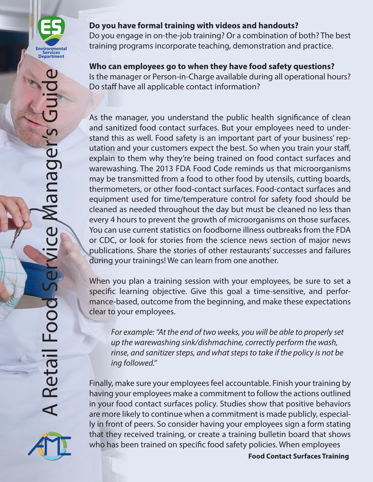

Do you engage in on-the-job training? Or a combination of both? The best training programs incorporate teaching, demonstration and practice.

## **Who can employees go to when they have food safety questions?**

Is the manager or Person-in-Charge available during all operational hours? Do staff have all applicable contact information?

As the manager, you understand the public health significance of clean and sanitized food contact surfaces. But your employees need to understand this as well. Food safety is an important part of your business' reputation and your customers expect the best. So when you train your staff, explain to them why they're being trained on food contact surfaces and warewashing. The 2013 FDA Food Code reminds us that microorganisms may be transmitted from a food to other food by utensils, cutting boards, thermometers, or other food-contact surfaces. Food-contact surfaces and equipment used for time/temperature control for safety food should be cleaned as needed throughout the day but must be cleaned no less than every 4 hours to prevent the growth of microorganisms on those surfaces. You can use current statistics on foodborne illness outbreaks from the FDA or CDC, or look for stories from the science news section of major news publications. Share the stories of other restaurants' successes and failures during your trainings! We can learn from one another.

When you plan a training session with your employees, be sure to set a specific learning objective. Give this goal a time-sensitive, and performance-based, outcome from the beginning, and make these expectations clear to your employees.

*For example: "At the end of two weeks, you will be able to properly set up the warewashing sink/dishmachine, correctly perform the wash, rinse, and sanitizer steps, and what steps to take if the policy is not be ing followed."*

Finally, make sure your employees feel accountable. Finish your training by having your employees make a commitment to follow the actions outlined in your food contact surfaces policy. Studies show that positive behaviors are more likely to continue when a commitment is made publicly, especially in front of peers. So consider having your employees sign a form stating that they received training, or create a training bulletin board that shows who has been trained on specific food safety policies. When employees



**Food Contact Surfaces Training**